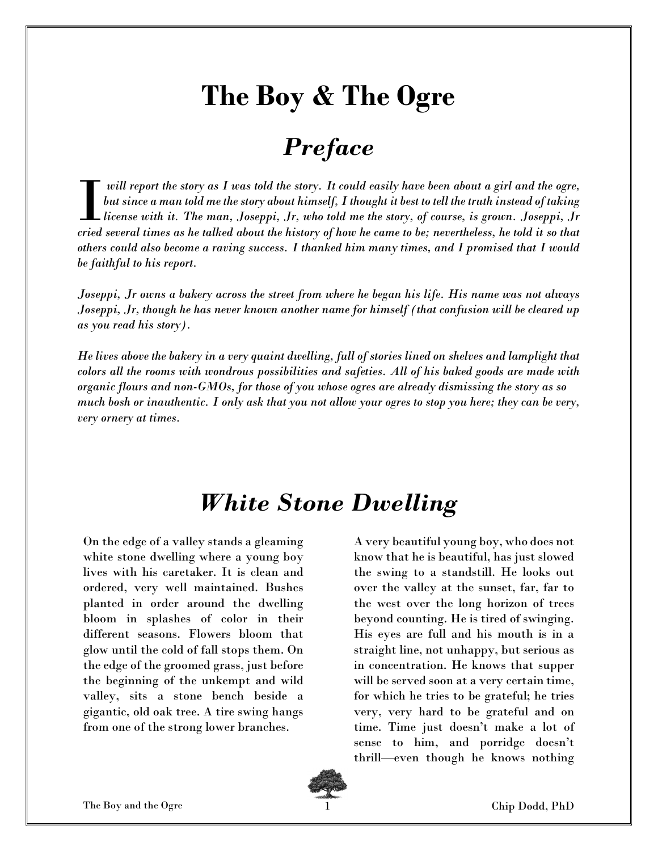# The Boy & The Ogre

#### Preface

will report the story as I was told the story. It could easily have been about a girl and the ogre, but since a man told me the story about himself, I thought it best to tell the truth instead of taking license with it. The man, Joseppi, Jr, who told me the story, of course, is grown. Joseppi, Jr will report the story as I was told the story. It could easily have been about a girl and the ogre,<br>but since a man told me the story about himself, I thought it best to tell the truth instead of taking<br>license with it. Th others could also become a raving success. I thanked him many times, and I promised that I would be faithful to his report.

Joseppi, Jr owns a bakery across the street from where he began his life. His name was not always Joseppi, Jr, though he has never known another name for himself (that confusion will be cleared up as you read his story).

He lives above the bakery in a very quaint dwelling, full of stories lined on shelves and lamplight that colors all the rooms with wondrous possibilities and safeties. All of his baked goods are made with organic flours and non-GMOs, for those of you whose ogres are already dismissing the story as so much bosh or inauthentic. I only ask that you not allow your ogres to stop you here; they can be very, very ornery at times.

#### White Stone Dwelling

On the edge of a valley stands a gleaming white stone dwelling where a young boy lives with his caretaker. It is clean and ordered, very well maintained. Bushes planted in order around the dwelling bloom in splashes of color in their different seasons. Flowers bloom that glow until the cold of fall stops them. On the edge of the groomed grass, just before the beginning of the unkempt and wild valley, sits a stone bench beside a gigantic, old oak tree. A tire swing hangs from one of the strong lower branches.

A very beautiful young boy, who does not know that he is beautiful, has just slowed the swing to a standstill. He looks out over the valley at the sunset, far, far to the west over the long horizon of trees beyond counting. He is tired of swinging. His eyes are full and his mouth is in a straight line, not unhappy, but serious as in concentration. He knows that supper will be served soon at a very certain time, for which he tries to be grateful; he tries very, very hard to be grateful and on time. Time just doesn't make a lot of sense to him, and porridge doesn't thrill—even though he knows nothing

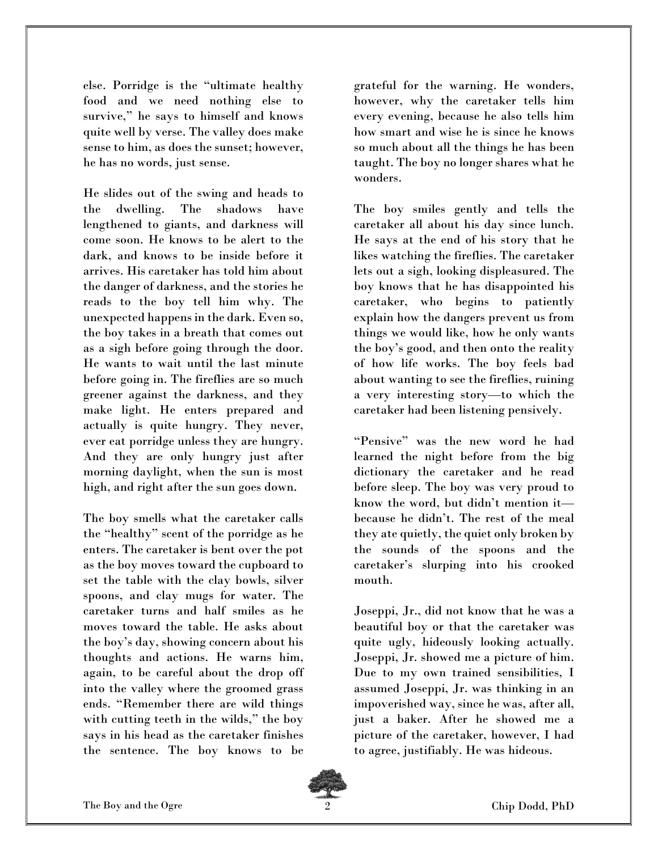else. Porridge is the "ultimate healthy food and we need nothing else to survive," he says to himself and knows quite well by verse. The valley does make sense to him, as does the sunset; however, he has no words, just sense.

He slides out of the swing and heads to the dwelling. The shadows have lengthened to giants, and darkness will come soon. He knows to be alert to the dark, and knows to be inside before it arrives. His caretaker has told him about the danger of darkness, and the stories he reads to the boy tell him why. The unexpected happens in the dark. Even so, the boy takes in a breath that comes out as a sigh before going through the door. He wants to wait until the last minute before going in. The fireflies are so much greener against the darkness, and they make light. He enters prepared and actually is quite hungry. They never, ever eat porridge unless they are hungry. And they are only hungry just after morning daylight, when the sun is most high, and right after the sun goes down.

The boy smells what the caretaker calls the "healthy" scent of the porridge as he enters. The caretaker is bent over the pot as the boy moves toward the cupboard to set the table with the clay bowls, silver spoons, and clay mugs for water. The caretaker turns and half smiles as he moves toward the table. He asks about the boy's day, showing concern about his thoughts and actions. He warns him, again, to be careful about the drop off into the valley where the groomed grass ends. "Remember there are wild things with cutting teeth in the wilds," the boy says in his head as the caretaker finishes the sentence. The boy knows to be

grateful for the warning. He wonders, however, why the caretaker tells him every evening, because he also tells him how smart and wise he is since he knows so much about all the things he has been taught. The boy no longer shares what he wonders.

The boy smiles gently and tells the caretaker all about his day since lunch. He says at the end of his story that he likes watching the fireflies. The caretaker lets out a sigh, looking displeasured. The boy knows that he has disappointed his caretaker, who begins to patiently explain how the dangers prevent us from things we would like, how he only wants the boy's good, and then onto the reality of how life works. The boy feels bad about wanting to see the fireflies, ruining a very interesting story—to which the caretaker had been listening pensively.

"Pensive" was the new word he had learned the night before from the big dictionary the caretaker and he read before sleep. The boy was very proud to know the word, but didn't mention it because he didn't. The rest of the meal they ate quietly, the quiet only broken by the sounds of the spoons and the caretaker's slurping into his crooked mouth.

Joseppi, Jr., did not know that he was a beautiful boy or that the caretaker was quite ugly, hideously looking actually. Joseppi, Jr. showed me a picture of him. Due to my own trained sensibilities, I assumed Joseppi, Jr. was thinking in an impoverished way, since he was, after all, just a baker. After he showed me a picture of the caretaker, however, I had to agree, justifiably. He was hideous.

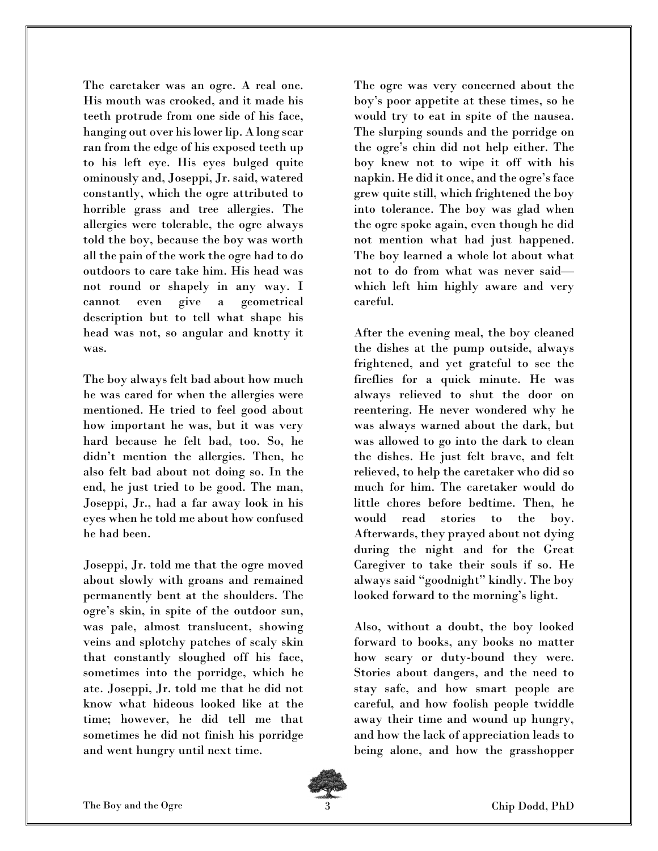The caretaker was an ogre. A real one. His mouth was crooked, and it made his teeth protrude from one side of his face, hanging out over his lower lip. A long scar ran from the edge of his exposed teeth up to his left eye. His eyes bulged quite ominously and, Joseppi, Jr. said, watered constantly, which the ogre attributed to horrible grass and tree allergies. The allergies were tolerable, the ogre always told the boy, because the boy was worth all the pain of the work the ogre had to do outdoors to care take him. His head was not round or shapely in any way. I cannot even give a geometrical description but to tell what shape his head was not, so angular and knotty it was.

The boy always felt bad about how much he was cared for when the allergies were mentioned. He tried to feel good about how important he was, but it was very hard because he felt bad, too. So, he didn't mention the allergies. Then, he also felt bad about not doing so. In the end, he just tried to be good. The man, Joseppi, Jr., had a far away look in his eyes when he told me about how confused he had been.

Joseppi, Jr. told me that the ogre moved about slowly with groans and remained permanently bent at the shoulders. The ogre's skin, in spite of the outdoor sun, was pale, almost translucent, showing veins and splotchy patches of scaly skin that constantly sloughed off his face, sometimes into the porridge, which he ate. Joseppi, Jr. told me that he did not know what hideous looked like at the time; however, he did tell me that sometimes he did not finish his porridge and went hungry until next time.

The ogre was very concerned about the boy's poor appetite at these times, so he would try to eat in spite of the nausea. The slurping sounds and the porridge on the ogre's chin did not help either. The boy knew not to wipe it off with his napkin. He did it once, and the ogre's face grew quite still, which frightened the boy into tolerance. The boy was glad when the ogre spoke again, even though he did not mention what had just happened. The boy learned a whole lot about what not to do from what was never said which left him highly aware and very careful.

After the evening meal, the boy cleaned the dishes at the pump outside, always frightened, and yet grateful to see the fireflies for a quick minute. He was always relieved to shut the door on reentering. He never wondered why he was always warned about the dark, but was allowed to go into the dark to clean the dishes. He just felt brave, and felt relieved, to help the caretaker who did so much for him. The caretaker would do little chores before bedtime. Then, he would read stories to the boy. Afterwards, they prayed about not dying during the night and for the Great Caregiver to take their souls if so. He always said "goodnight" kindly. The boy looked forward to the morning's light.

Also, without a doubt, the boy looked forward to books, any books no matter how scary or duty-bound they were. Stories about dangers, and the need to stay safe, and how smart people are careful, and how foolish people twiddle away their time and wound up hungry, and how the lack of appreciation leads to being alone, and how the grasshopper

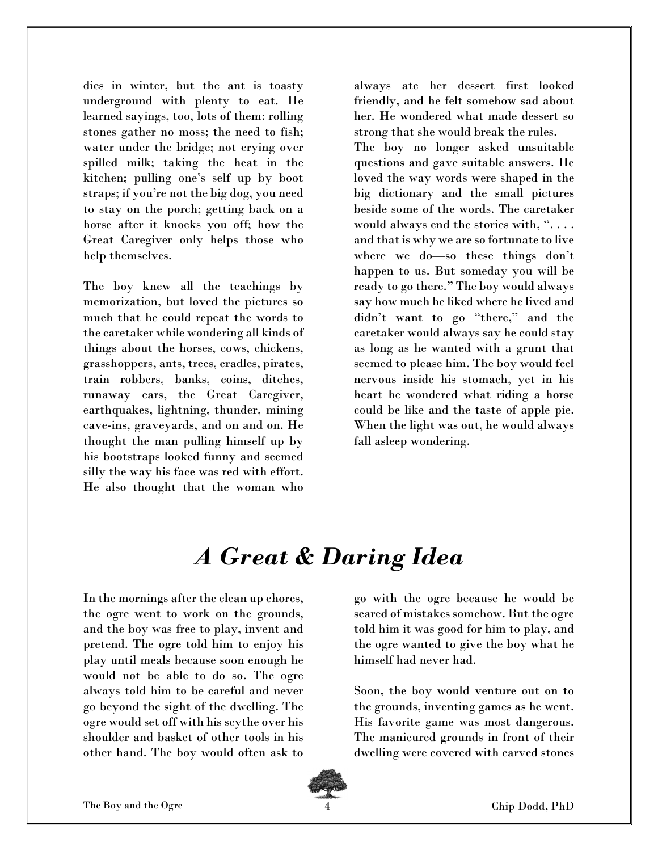dies in winter, but the ant is toasty underground with plenty to eat. He learned sayings, too, lots of them: rolling stones gather no moss; the need to fish; water under the bridge; not crying over spilled milk; taking the heat in the kitchen; pulling one's self up by boot straps; if you're not the big dog, you need to stay on the porch; getting back on a horse after it knocks you off; how the Great Caregiver only helps those who help themselves.

The boy knew all the teachings by memorization, but loved the pictures so much that he could repeat the words to the caretaker while wondering all kinds of things about the horses, cows, chickens, grasshoppers, ants, trees, cradles, pirates, train robbers, banks, coins, ditches, runaway cars, the Great Caregiver, earthquakes, lightning, thunder, mining cave-ins, graveyards, and on and on. He thought the man pulling himself up by his bootstraps looked funny and seemed silly the way his face was red with effort. He also thought that the woman who

always ate her dessert first looked friendly, and he felt somehow sad about her. He wondered what made dessert so strong that she would break the rules.

The boy no longer asked unsuitable questions and gave suitable answers. He loved the way words were shaped in the big dictionary and the small pictures beside some of the words. The caretaker would always end the stories with, ".... and that is why we are so fortunate to live where we do—so these things don't happen to us. But someday you will be ready to go there." The boy would always say how much he liked where he lived and didn't want to go "there," and the caretaker would always say he could stay as long as he wanted with a grunt that seemed to please him. The boy would feel nervous inside his stomach, yet in his heart he wondered what riding a horse could be like and the taste of apple pie. When the light was out, he would always fall asleep wondering.

#### A Great & Daring Idea

In the mornings after the clean up chores, the ogre went to work on the grounds, and the boy was free to play, invent and pretend. The ogre told him to enjoy his play until meals because soon enough he would not be able to do so. The ogre always told him to be careful and never go beyond the sight of the dwelling. The ogre would set off with his scythe over his shoulder and basket of other tools in his other hand. The boy would often ask to

go with the ogre because he would be scared of mistakes somehow. But the ogre told him it was good for him to play, and the ogre wanted to give the boy what he himself had never had.

Soon, the boy would venture out on to the grounds, inventing games as he went. His favorite game was most dangerous. The manicured grounds in front of their dwelling were covered with carved stones

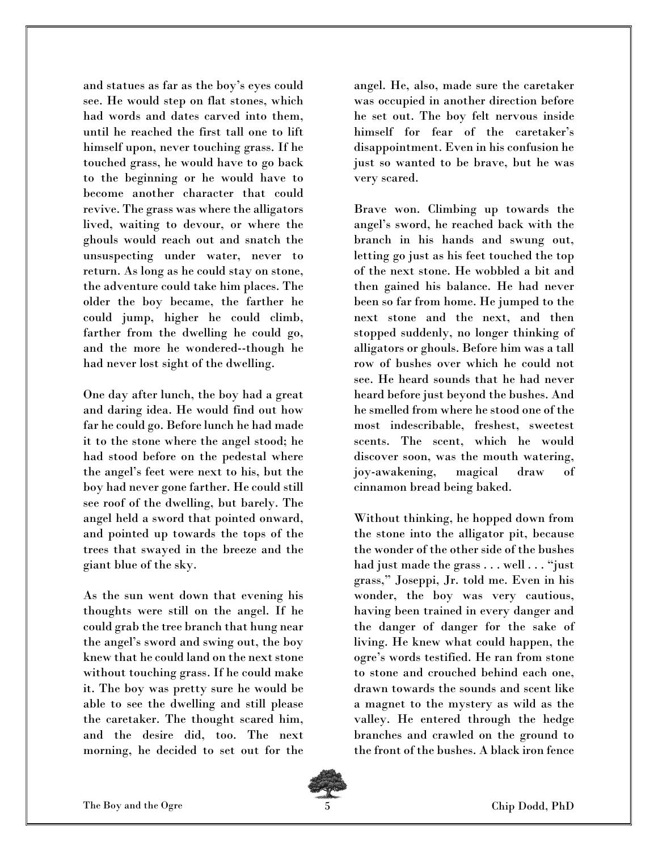and statues as far as the boy's eyes could see. He would step on flat stones, which had words and dates carved into them, until he reached the first tall one to lift himself upon, never touching grass. If he touched grass, he would have to go back to the beginning or he would have to become another character that could revive. The grass was where the alligators lived, waiting to devour, or where the ghouls would reach out and snatch the unsuspecting under water, never to return. As long as he could stay on stone, the adventure could take him places. The older the boy became, the farther he could jump, higher he could climb, farther from the dwelling he could go, and the more he wondered--though he had never lost sight of the dwelling.

One day after lunch, the boy had a great and daring idea. He would find out how far he could go. Before lunch he had made it to the stone where the angel stood; he had stood before on the pedestal where the angel's feet were next to his, but the boy had never gone farther. He could still see roof of the dwelling, but barely. The angel held a sword that pointed onward, and pointed up towards the tops of the trees that swayed in the breeze and the giant blue of the sky.

As the sun went down that evening his thoughts were still on the angel. If he could grab the tree branch that hung near the angel's sword and swing out, the boy knew that he could land on the next stone without touching grass. If he could make it. The boy was pretty sure he would be able to see the dwelling and still please the caretaker. The thought scared him, and the desire did, too. The next morning, he decided to set out for the

angel. He, also, made sure the caretaker was occupied in another direction before he set out. The boy felt nervous inside himself for fear of the caretaker's disappointment. Even in his confusion he just so wanted to be brave, but he was very scared.

Brave won. Climbing up towards the angel's sword, he reached back with the branch in his hands and swung out, letting go just as his feet touched the top of the next stone. He wobbled a bit and then gained his balance. He had never been so far from home. He jumped to the next stone and the next, and then stopped suddenly, no longer thinking of alligators or ghouls. Before him was a tall row of bushes over which he could not see. He heard sounds that he had never heard before just beyond the bushes. And he smelled from where he stood one of the most indescribable, freshest, sweetest scents. The scent, which he would discover soon, was the mouth watering, joy-awakening, magical draw of cinnamon bread being baked.

Without thinking, he hopped down from the stone into the alligator pit, because the wonder of the other side of the bushes had just made the grass . . . well . . . "just grass," Joseppi, Jr. told me. Even in his wonder, the boy was very cautious, having been trained in every danger and the danger of danger for the sake of living. He knew what could happen, the ogre's words testified. He ran from stone to stone and crouched behind each one, drawn towards the sounds and scent like a magnet to the mystery as wild as the valley. He entered through the hedge branches and crawled on the ground to the front of the bushes. A black iron fence

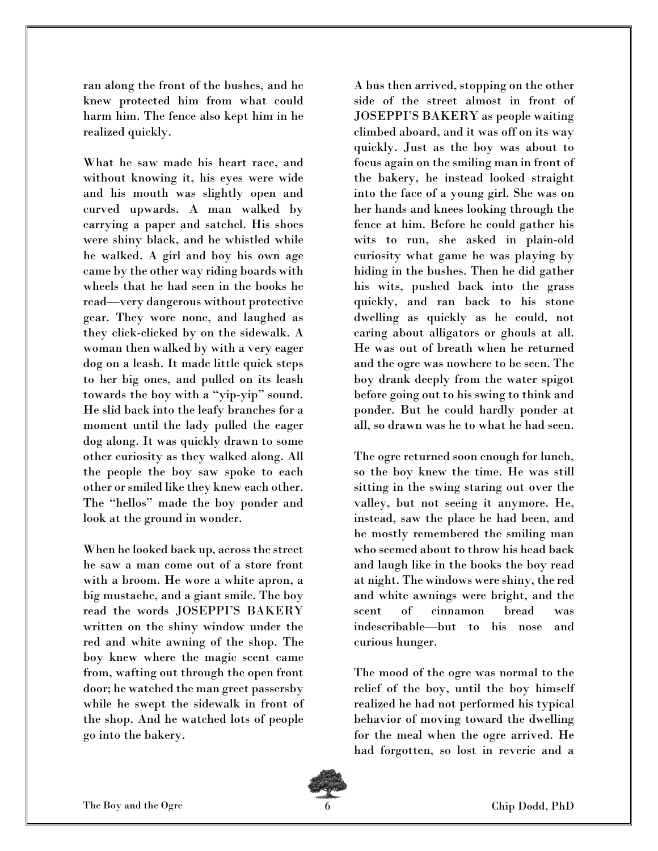ran along the front of the bushes, and he knew protected him from what could harm him. The fence also kept him in he realized quickly.

What he saw made his heart race, and without knowing it, his eyes were wide and his mouth was slightly open and curved upwards. A man walked by carrying a paper and satchel. His shoes were shiny black, and he whistled while he walked. A girl and boy his own age came by the other way riding boards with wheels that he had seen in the books he read—very dangerous without protective gear. They wore none, and laughed as they click-clicked by on the sidewalk. A woman then walked by with a very eager dog on a leash. It made little quick steps to her big ones, and pulled on its leash towards the boy with a "yip-yip" sound. He slid back into the leafy branches for a moment until the lady pulled the eager dog along. It was quickly drawn to some other curiosity as they walked along. All the people the boy saw spoke to each other or smiled like they knew each other. The "hellos" made the boy ponder and look at the ground in wonder.

When he looked back up, across the street he saw a man come out of a store front with a broom. He wore a white apron, a big mustache, and a giant smile. The boy read the words JOSEPPI'S BAKERY written on the shiny window under the red and white awning of the shop. The boy knew where the magic scent came from, wafting out through the open front door; he watched the man greet passersby while he swept the sidewalk in front of the shop. And he watched lots of people go into the bakery.

A bus then arrived, stopping on the other side of the street almost in front of JOSEPPI'S BAKERY as people waiting climbed aboard, and it was off on its way quickly. Just as the boy was about to focus again on the smiling man in front of the bakery, he instead looked straight into the face of a young girl. She was on her hands and knees looking through the fence at him. Before he could gather his wits to run, she asked in plain-old curiosity what game he was playing by hiding in the bushes. Then he did gather his wits, pushed back into the grass quickly, and ran back to his stone dwelling as quickly as he could, not caring about alligators or ghouls at all. He was out of breath when he returned and the ogre was nowhere to be seen. The boy drank deeply from the water spigot before going out to his swing to think and ponder. But he could hardly ponder at all, so drawn was he to what he had seen.

The ogre returned soon enough for lunch, so the boy knew the time. He was still sitting in the swing staring out over the valley, but not seeing it anymore. He, instead, saw the place he had been, and he mostly remembered the smiling man who seemed about to throw his head back and laugh like in the books the boy read at night. The windows were shiny, the red and white awnings were bright, and the scent of cinnamon bread was indescribable—but to his nose and curious hunger.

The mood of the ogre was normal to the relief of the boy, until the boy himself realized he had not performed his typical behavior of moving toward the dwelling for the meal when the ogre arrived. He had forgotten, so lost in reverie and a

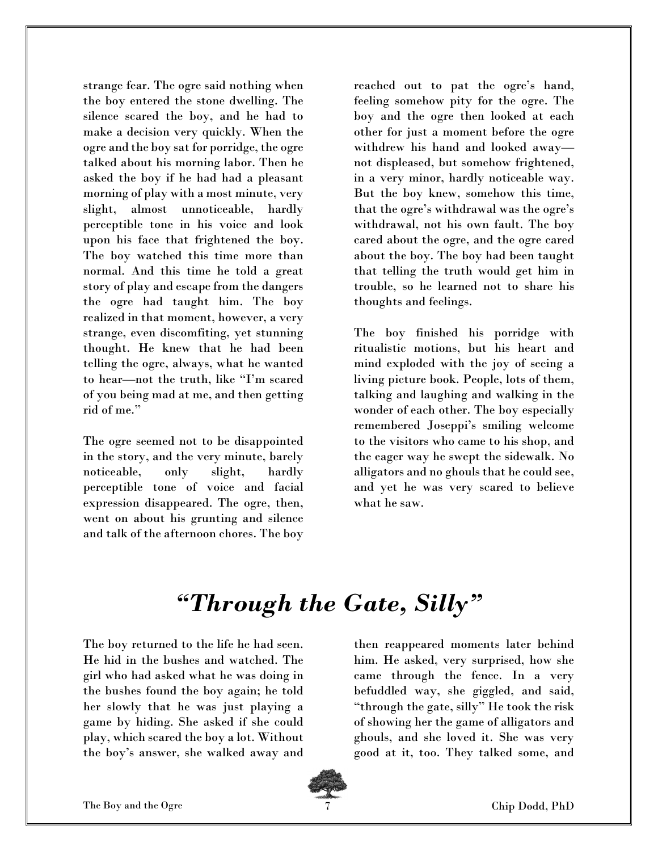strange fear. The ogre said nothing when the boy entered the stone dwelling. The silence scared the boy, and he had to make a decision very quickly. When the ogre and the boy sat for porridge, the ogre talked about his morning labor. Then he asked the boy if he had had a pleasant morning of play with a most minute, very slight, almost unnoticeable, hardly perceptible tone in his voice and look upon his face that frightened the boy. The boy watched this time more than normal. And this time he told a great story of play and escape from the dangers the ogre had taught him. The boy realized in that moment, however, a very strange, even discomfiting, yet stunning thought. He knew that he had been telling the ogre, always, what he wanted to hear—not the truth, like "I'm scared of you being mad at me, and then getting rid of me."

The ogre seemed not to be disappointed in the story, and the very minute, barely noticeable, only slight, hardly perceptible tone of voice and facial expression disappeared. The ogre, then, went on about his grunting and silence and talk of the afternoon chores. The boy

reached out to pat the ogre's hand, feeling somehow pity for the ogre. The boy and the ogre then looked at each other for just a moment before the ogre withdrew his hand and looked away not displeased, but somehow frightened, in a very minor, hardly noticeable way. But the boy knew, somehow this time, that the ogre's withdrawal was the ogre's withdrawal, not his own fault. The boy cared about the ogre, and the ogre cared about the boy. The boy had been taught that telling the truth would get him in trouble, so he learned not to share his thoughts and feelings.

The boy finished his porridge with ritualistic motions, but his heart and mind exploded with the joy of seeing a living picture book. People, lots of them, talking and laughing and walking in the wonder of each other. The boy especially remembered Joseppi's smiling welcome to the visitors who came to his shop, and the eager way he swept the sidewalk. No alligators and no ghouls that he could see, and yet he was very scared to believe what he saw.

### "Through the Gate, Silly"

The boy returned to the life he had seen. He hid in the bushes and watched. The girl who had asked what he was doing in the bushes found the boy again; he told her slowly that he was just playing a game by hiding. She asked if she could play, which scared the boy a lot. Without the boy's answer, she walked away and then reappeared moments later behind him. He asked, very surprised, how she came through the fence. In a very befuddled way, she giggled, and said, "through the gate, silly" He took the risk of showing her the game of alligators and ghouls, and she loved it. She was very good at it, too. They talked some, and

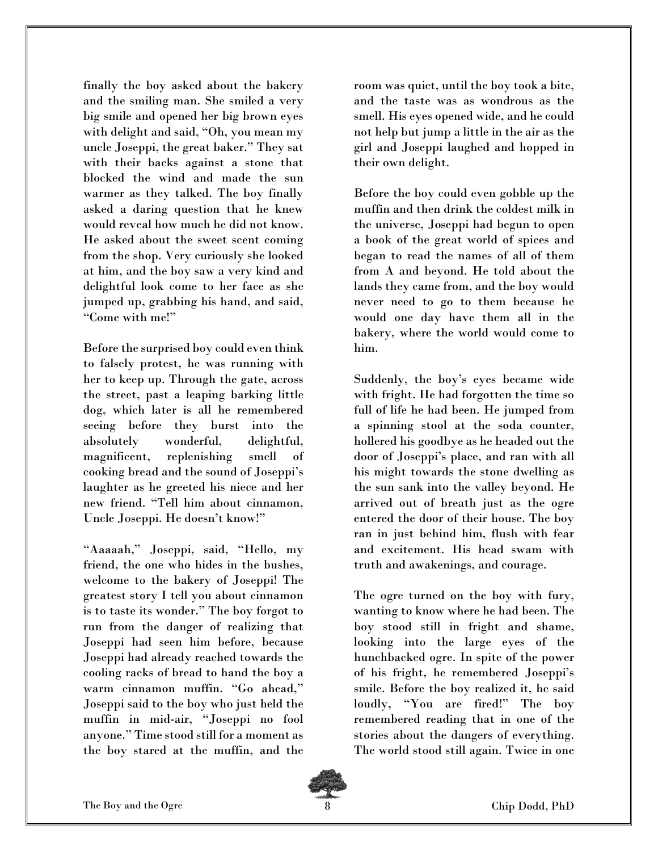finally the boy asked about the bakery and the smiling man. She smiled a very big smile and opened her big brown eyes with delight and said, "Oh, you mean my uncle Joseppi, the great baker." They sat with their backs against a stone that blocked the wind and made the sun warmer as they talked. The boy finally asked a daring question that he knew would reveal how much he did not know. He asked about the sweet scent coming from the shop. Very curiously she looked at him, and the boy saw a very kind and delightful look come to her face as she jumped up, grabbing his hand, and said, "Come with me!"

Before the surprised boy could even think to falsely protest, he was running with her to keep up. Through the gate, across the street, past a leaping barking little dog, which later is all he remembered seeing before they burst into the absolutely wonderful, delightful, magnificent, replenishing smell of cooking bread and the sound of Joseppi's laughter as he greeted his niece and her new friend. "Tell him about cinnamon, Uncle Joseppi. He doesn't know!"

"Aaaaah," Joseppi, said, "Hello, my friend, the one who hides in the bushes, welcome to the bakery of Joseppi! The greatest story I tell you about cinnamon is to taste its wonder." The boy forgot to run from the danger of realizing that Joseppi had seen him before, because Joseppi had already reached towards the cooling racks of bread to hand the boy a warm cinnamon muffin. "Go ahead," Joseppi said to the boy who just held the muffin in mid-air, "Joseppi no fool anyone." Time stood still for a moment as the boy stared at the muffin, and the room was quiet, until the boy took a bite, and the taste was as wondrous as the smell. His eyes opened wide, and he could not help but jump a little in the air as the girl and Joseppi laughed and hopped in their own delight.

Before the boy could even gobble up the muffin and then drink the coldest milk in the universe, Joseppi had begun to open a book of the great world of spices and began to read the names of all of them from A and beyond. He told about the lands they came from, and the boy would never need to go to them because he would one day have them all in the bakery, where the world would come to him.

Suddenly, the boy's eyes became wide with fright. He had forgotten the time so full of life he had been. He jumped from a spinning stool at the soda counter, hollered his goodbye as he headed out the door of Joseppi's place, and ran with all his might towards the stone dwelling as the sun sank into the valley beyond. He arrived out of breath just as the ogre entered the door of their house. The boy ran in just behind him, flush with fear and excitement. His head swam with truth and awakenings, and courage.

The ogre turned on the boy with fury, wanting to know where he had been. The boy stood still in fright and shame, looking into the large eyes of the hunchbacked ogre. In spite of the power of his fright, he remembered Joseppi's smile. Before the boy realized it, he said loudly, "You are fired!" The boy remembered reading that in one of the stories about the dangers of everything. The world stood still again. Twice in one

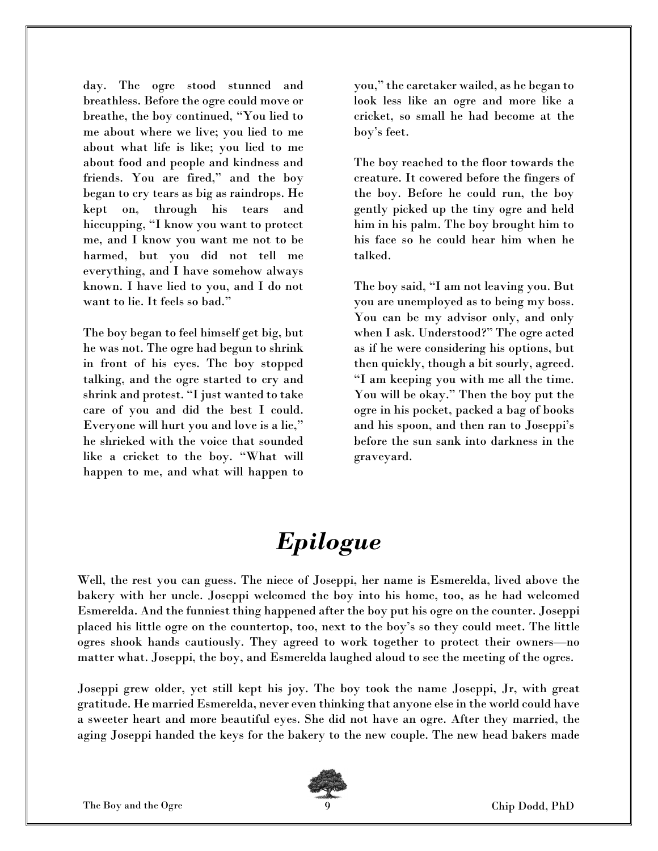day. The ogre stood stunned and breathless. Before the ogre could move or breathe, the boy continued, "You lied to me about where we live; you lied to me about what life is like; you lied to me about food and people and kindness and friends. You are fired," and the boy began to cry tears as big as raindrops. He kept on, through his tears and hiccupping, "I know you want to protect me, and I know you want me not to be harmed, but you did not tell me everything, and I have somehow always known. I have lied to you, and I do not want to lie. It feels so bad."

The boy began to feel himself get big, but he was not. The ogre had begun to shrink in front of his eyes. The boy stopped talking, and the ogre started to cry and shrink and protest. "I just wanted to take care of you and did the best I could. Everyone will hurt you and love is a lie," he shrieked with the voice that sounded like a cricket to the boy. "What will happen to me, and what will happen to

you," the caretaker wailed, as he began to look less like an ogre and more like a cricket, so small he had become at the boy's feet.

The boy reached to the floor towards the creature. It cowered before the fingers of the boy. Before he could run, the boy gently picked up the tiny ogre and held him in his palm. The boy brought him to his face so he could hear him when he talked.

The boy said, "I am not leaving you. But you are unemployed as to being my boss. You can be my advisor only, and only when I ask. Understood?" The ogre acted as if he were considering his options, but then quickly, though a bit sourly, agreed. "I am keeping you with me all the time. You will be okay." Then the boy put the ogre in his pocket, packed a bag of books and his spoon, and then ran to Joseppi's before the sun sank into darkness in the graveyard.

## Epilogue

Well, the rest you can guess. The niece of Joseppi, her name is Esmerelda, lived above the bakery with her uncle. Joseppi welcomed the boy into his home, too, as he had welcomed Esmerelda. And the funniest thing happened after the boy put his ogre on the counter. Joseppi placed his little ogre on the countertop, too, next to the boy's so they could meet. The little ogres shook hands cautiously. They agreed to work together to protect their owners—no matter what. Joseppi, the boy, and Esmerelda laughed aloud to see the meeting of the ogres.

Joseppi grew older, yet still kept his joy. The boy took the name Joseppi, Jr, with great gratitude. He married Esmerelda, never even thinking that anyone else in the world could have a sweeter heart and more beautiful eyes. She did not have an ogre. After they married, the aging Joseppi handed the keys for the bakery to the new couple. The new head bakers made